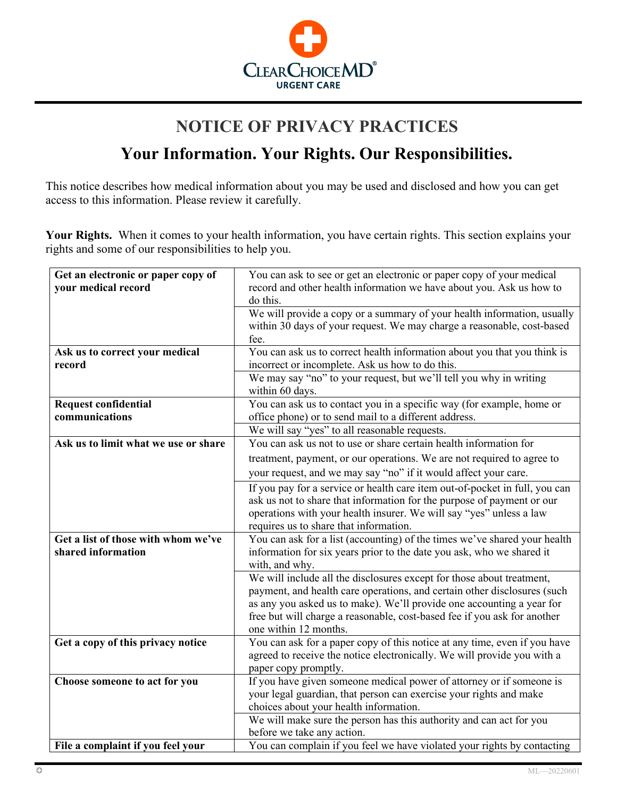

## **NOTICE OF PRIVACY PRACTICES**

## **Your Information. Your Rights. Our Responsibilities.**

This notice describes how medical information about you may be used and disclosed and how you can get access to this information. Please review it carefully.

**Your Rights.** When it comes to your health information, you have certain rights. This section explains your rights and some of our responsibilities to help you.

| Get an electronic or paper copy of   | You can ask to see or get an electronic or paper copy of your medical                                                                             |
|--------------------------------------|---------------------------------------------------------------------------------------------------------------------------------------------------|
| your medical record                  | record and other health information we have about you. Ask us how to                                                                              |
|                                      | do this.                                                                                                                                          |
|                                      | We will provide a copy or a summary of your health information, usually                                                                           |
|                                      | within 30 days of your request. We may charge a reasonable, cost-based                                                                            |
|                                      | fee.                                                                                                                                              |
| Ask us to correct your medical       | You can ask us to correct health information about you that you think is                                                                          |
| record                               | incorrect or incomplete. Ask us how to do this.                                                                                                   |
|                                      | We may say "no" to your request, but we'll tell you why in writing<br>within 60 days.                                                             |
| <b>Request confidential</b>          | You can ask us to contact you in a specific way (for example, home or                                                                             |
| communications                       | office phone) or to send mail to a different address.                                                                                             |
|                                      | We will say "yes" to all reasonable requests.                                                                                                     |
| Ask us to limit what we use or share | You can ask us not to use or share certain health information for                                                                                 |
|                                      | treatment, payment, or our operations. We are not required to agree to                                                                            |
|                                      | your request, and we may say "no" if it would affect your care.                                                                                   |
|                                      | If you pay for a service or health care item out-of-pocket in full, you can                                                                       |
|                                      | ask us not to share that information for the purpose of payment or our                                                                            |
|                                      | operations with your health insurer. We will say "yes" unless a law                                                                               |
|                                      | requires us to share that information.                                                                                                            |
| Get a list of those with whom we've  | You can ask for a list (accounting) of the times we've shared your health                                                                         |
| shared information                   | information for six years prior to the date you ask, who we shared it                                                                             |
|                                      | with, and why.                                                                                                                                    |
|                                      | We will include all the disclosures except for those about treatment,                                                                             |
|                                      | payment, and health care operations, and certain other disclosures (such<br>as any you asked us to make). We'll provide one accounting a year for |
|                                      | free but will charge a reasonable, cost-based fee if you ask for another                                                                          |
|                                      | one within 12 months.                                                                                                                             |
| Get a copy of this privacy notice    | You can ask for a paper copy of this notice at any time, even if you have                                                                         |
|                                      | agreed to receive the notice electronically. We will provide you with a                                                                           |
|                                      | paper copy promptly.                                                                                                                              |
| Choose someone to act for you        | If you have given someone medical power of attorney or if someone is                                                                              |
|                                      | your legal guardian, that person can exercise your rights and make                                                                                |
|                                      | choices about your health information.                                                                                                            |
|                                      | We will make sure the person has this authority and can act for you                                                                               |
|                                      | before we take any action.                                                                                                                        |
| File a complaint if you feel your    | You can complain if you feel we have violated your rights by contacting                                                                           |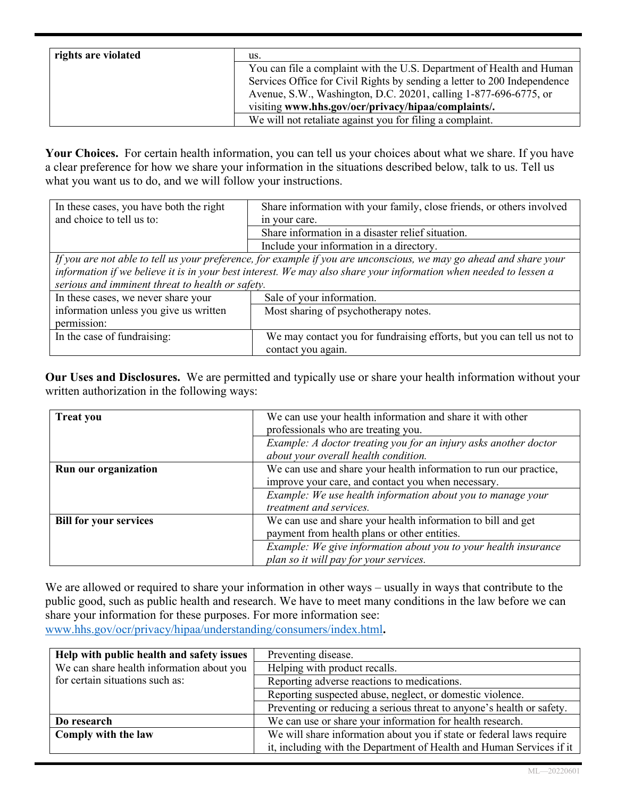| rights are violated | us.                                                                      |
|---------------------|--------------------------------------------------------------------------|
|                     | You can file a complaint with the U.S. Department of Health and Human    |
|                     | Services Office for Civil Rights by sending a letter to 200 Independence |
|                     | Avenue, S.W., Washington, D.C. 20201, calling 1-877-696-6775, or         |
|                     | visiting www.hhs.gov/ocr/privacy/hipaa/complaints/.                      |
|                     | We will not retaliate against you for filing a complaint.                |

**Your Choices.** For certain health information, you can tell us your choices about what we share. If you have a clear preference for how we share your information in the situations described below, talk to us. Tell us what you want us to do, and we will follow your instructions.

| In these cases, you have both the right                                                                            | Share information with your family, close friends, or others involved  |
|--------------------------------------------------------------------------------------------------------------------|------------------------------------------------------------------------|
| and choice to tell us to:                                                                                          | in your care.                                                          |
|                                                                                                                    | Share information in a disaster relief situation.                      |
|                                                                                                                    | Include your information in a directory.                               |
| If you are not able to tell us your preference, for example if you are unconscious, we may go ahead and share your |                                                                        |
| information if we believe it is in your best interest. We may also share your information when needed to lessen a  |                                                                        |
| serious and imminent threat to health or safety.                                                                   |                                                                        |
| In these cases, we never share your                                                                                | Sale of your information.                                              |
| information unless you give us written                                                                             | Most sharing of psychotherapy notes.                                   |
| permission:                                                                                                        |                                                                        |
| In the case of fundraising:                                                                                        | We may contact you for fundraising efforts, but you can tell us not to |
|                                                                                                                    | contact you again.                                                     |

**Our Uses and Disclosures.** We are permitted and typically use or share your health information without your written authorization in the following ways:

| <b>Treat you</b>              | We can use your health information and share it with other<br>professionals who are treating you. |
|-------------------------------|---------------------------------------------------------------------------------------------------|
|                               |                                                                                                   |
|                               | Example: A doctor treating you for an injury asks another doctor                                  |
|                               | about your overall health condition.                                                              |
| Run our organization          | We can use and share your health information to run our practice,                                 |
|                               | improve your care, and contact you when necessary.                                                |
|                               | Example: We use health information about you to manage your                                       |
|                               | treatment and services.                                                                           |
| <b>Bill for your services</b> | We can use and share your health information to bill and get                                      |
|                               | payment from health plans or other entities.                                                      |
|                               | Example: We give information about you to your health insurance                                   |
|                               | plan so it will pay for your services.                                                            |

We are allowed or required to share your information in other ways – usually in ways that contribute to the public good, such as public health and research. We have to meet many conditions in the law before we can share your information for these purposes. For more information see: [www.hhs.gov/ocr/privacy/hipaa/understanding/consumers/index.html](http://www.hhs.gov/ocr/privacy/hipaa/understanding/consumers/index.html)**.** 

| Help with public health and safety issues | Preventing disease.                                                   |
|-------------------------------------------|-----------------------------------------------------------------------|
| We can share health information about you | Helping with product recalls.                                         |
| for certain situations such as:           | Reporting adverse reactions to medications.                           |
|                                           | Reporting suspected abuse, neglect, or domestic violence.             |
|                                           | Preventing or reducing a serious threat to anyone's health or safety. |
| Do research                               | We can use or share your information for health research.             |
| Comply with the law                       | We will share information about you if state or federal laws require  |
|                                           | it, including with the Department of Health and Human Services if it  |